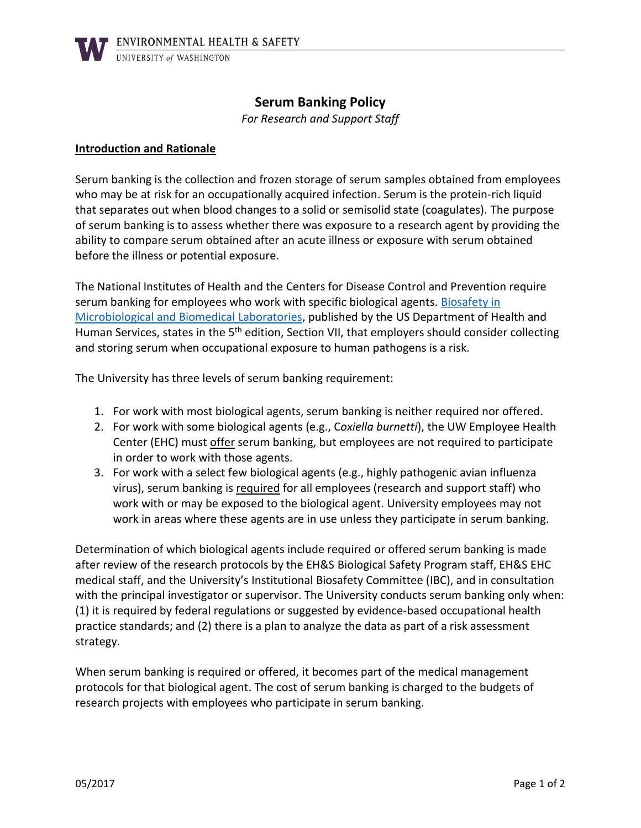# **Serum Banking Policy**

*For Research and Support Staff*

### **Introduction and Rationale**

Serum banking is the collection and frozen storage of serum samples obtained from employees who may be at risk for an occupationally acquired infection. Serum is the protein-rich liquid that separates out when blood changes to a solid or semisolid state (coagulates). The purpose of serum banking is to assess whether there was exposure to a research agent by providing the ability to compare serum obtained after an acute illness or exposure with serum obtained before the illness or potential exposure.

The National Institutes of Health and the Centers for Disease Control and Prevention require serum banking for employees who work with specific biological agents. Biosafety in [Microbiological and Biomedical Laboratories,](https://www.cdc.gov/biosafety/publications/bmbl5/index.htm) published by the US Department of Health and Human Services, states in the 5<sup>th</sup> edition, Section VII, that employers should consider collecting and storing serum when occupational exposure to human pathogens is a risk.

The University has three levels of serum banking requirement:

- 1. For work with most biological agents, serum banking is neither required nor offered.
- 2. For work with some biological agents (e.g., C*oxiella burnetti*), the UW Employee Health Center (EHC) must offer serum banking, but employees are not required to participate in order to work with those agents.
- 3. For work with a select few biological agents (e.g., highly pathogenic avian influenza virus), serum banking is required for all employees (research and support staff) who work with or may be exposed to the biological agent. University employees may not work in areas where these agents are in use unless they participate in serum banking.

Determination of which biological agents include required or offered serum banking is made after review of the research protocols by the EH&S Biological Safety Program staff, EH&S EHC medical staff, and the University's Institutional Biosafety Committee (IBC), and in consultation with the principal investigator or supervisor. The University conducts serum banking only when: (1) it is required by federal regulations or suggested by evidence-based occupational health practice standards; and (2) there is a plan to analyze the data as part of a risk assessment strategy.

When serum banking is required or offered, it becomes part of the medical management protocols for that biological agent. The cost of serum banking is charged to the budgets of research projects with employees who participate in serum banking.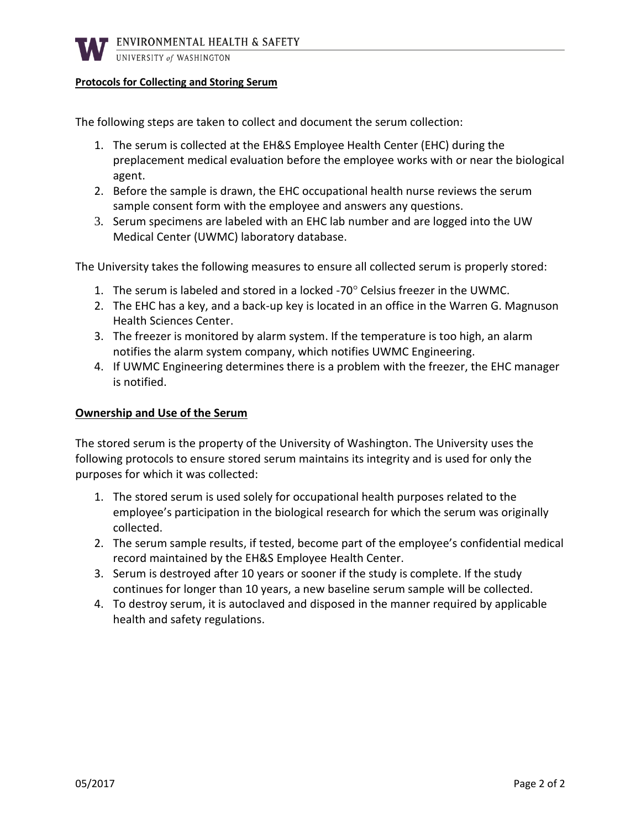

#### UNIVERSITY of WASHINGTON

### **Protocols for Collecting and Storing Serum**

The following steps are taken to collect and document the serum collection:

- 1. The serum is collected at the EH&S Employee Health Center (EHC) during the preplacement medical evaluation before the employee works with or near the biological agent.
- 2. Before the sample is drawn, the EHC occupational health nurse reviews the serum sample consent form with the employee and answers any questions.
- 3. Serum specimens are labeled with an EHC lab number and are logged into the UW Medical Center (UWMC) laboratory database.

The University takes the following measures to ensure all collected serum is properly stored:

- 1. The serum is labeled and stored in a locked -70° Celsius freezer in the UWMC.
- 2. The EHC has a key, and a back-up key is located in an office in the Warren G. Magnuson Health Sciences Center.
- 3. The freezer is monitored by alarm system. If the temperature is too high, an alarm notifies the alarm system company, which notifies UWMC Engineering.
- 4. If UWMC Engineering determines there is a problem with the freezer, the EHC manager is notified.

### **Ownership and Use of the Serum**

The stored serum is the property of the University of Washington. The University uses the following protocols to ensure stored serum maintains its integrity and is used for only the purposes for which it was collected:

- 1. The stored serum is used solely for occupational health purposes related to the employee's participation in the biological research for which the serum was originally collected.
- 2. The serum sample results, if tested, become part of the employee's confidential medical record maintained by the EH&S Employee Health Center.
- 3. Serum is destroyed after 10 years or sooner if the study is complete. If the study continues for longer than 10 years, a new baseline serum sample will be collected.
- 4. To destroy serum, it is autoclaved and disposed in the manner required by applicable health and safety regulations.